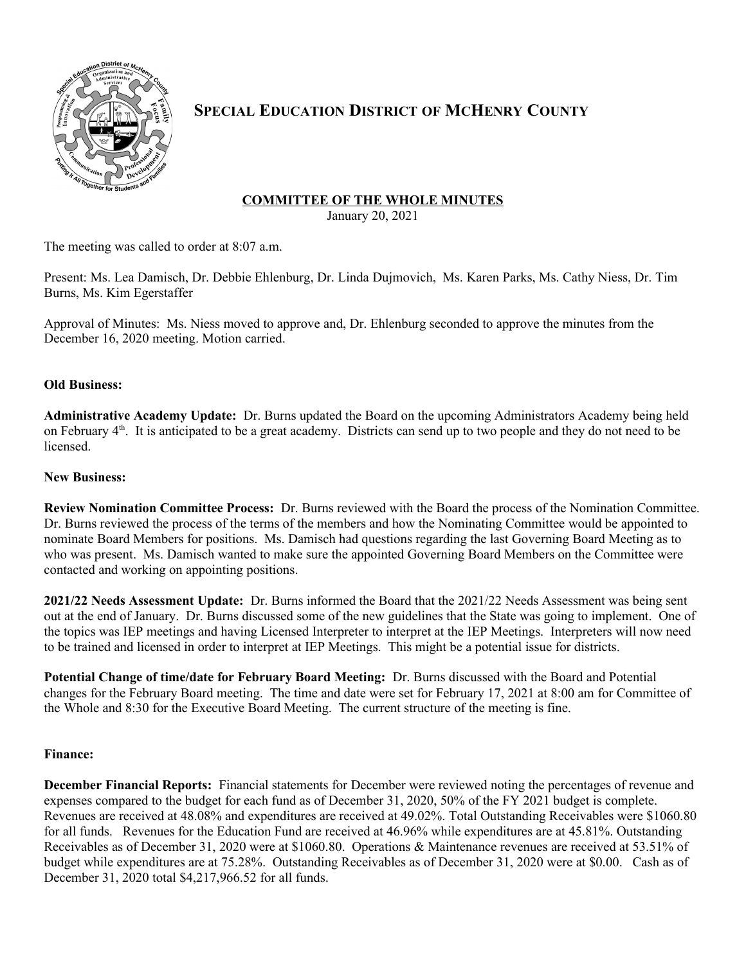

# **SPECIAL EDUCATION DISTRICT OF MCHENRY COUNTY**

## **COMMITTEE OF THE WHOLE MINUTES**

January 20, 2021

The meeting was called to order at 8:07 a.m.

Present: Ms. Lea Damisch, Dr. Debbie Ehlenburg, Dr. Linda Dujmovich, Ms. Karen Parks, Ms. Cathy Niess, Dr. Tim Burns, Ms. Kim Egerstaffer

Approval of Minutes: Ms. Niess moved to approve and, Dr. Ehlenburg seconded to approve the minutes from the December 16, 2020 meeting. Motion carried.

## **Old Business:**

**Administrative Academy Update:** Dr. Burns updated the Board on the upcoming Administrators Academy being held on February 4<sup>th</sup>. It is anticipated to be a great academy. Districts can send up to two people and they do not need to be licensed.

#### **New Business:**

**Review Nomination Committee Process:** Dr. Burns reviewed with the Board the process of the Nomination Committee. Dr. Burns reviewed the process of the terms of the members and how the Nominating Committee would be appointed to nominate Board Members for positions. Ms. Damisch had questions regarding the last Governing Board Meeting as to who was present. Ms. Damisch wanted to make sure the appointed Governing Board Members on the Committee were contacted and working on appointing positions.

**2021/22 Needs Assessment Update:** Dr. Burns informed the Board that the 2021/22 Needs Assessment was being sent out at the end of January. Dr. Burns discussed some of the new guidelines that the State was going to implement. One of the topics was IEP meetings and having Licensed Interpreter to interpret at the IEP Meetings. Interpreters will now need to be trained and licensed in order to interpret at IEP Meetings. This might be a potential issue for districts.

**Potential Change of time/date for February Board Meeting:** Dr. Burns discussed with the Board and Potential changes for the February Board meeting. The time and date were set for February 17, 2021 at 8:00 am for Committee of the Whole and 8:30 for the Executive Board Meeting. The current structure of the meeting is fine.

## **Finance:**

**December Financial Reports:** Financial statements for December were reviewed noting the percentages of revenue and expenses compared to the budget for each fund as of December 31, 2020, 50% of the FY 2021 budget is complete. Revenues are received at 48.08% and expenditures are received at 49.02%. Total Outstanding Receivables were \$1060.80 for all funds. Revenues for the Education Fund are received at 46.96% while expenditures are at 45.81%. Outstanding Receivables as of December 31, 2020 were at \$1060.80. Operations & Maintenance revenues are received at 53.51% of budget while expenditures are at 75.28%. Outstanding Receivables as of December 31, 2020 were at \$0.00. Cash as of December 31, 2020 total \$4,217,966.52 for all funds.